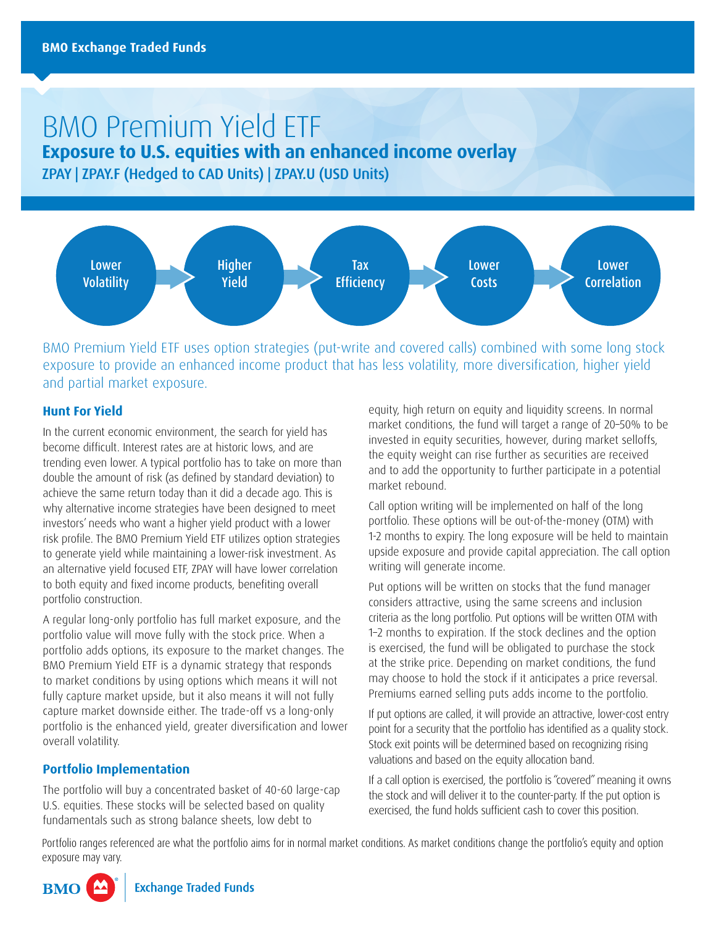# BMO Premium Yield ETF

**Exposure to U.S. equities with an enhanced income overlay**

ZPAY | ZPAY.F (Hedged to CAD Units) | ZPAY.U (USD Units)



BMO Premium Yield ETF uses option strategies (put-write and covered calls) combined with some long stock exposure to provide an enhanced income product that has less volatility, more diversification, higher yield and partial market exposure.

## **Hunt For Yield**

In the current economic environment, the search for yield has become difficult. Interest rates are at historic lows, and are trending even lower. A typical portfolio has to take on more than double the amount of risk (as defined by standard deviation) to achieve the same return today than it did a decade ago. This is why alternative income strategies have been designed to meet investors' needs who want a higher yield product with a lower risk profile. The BMO Premium Yield ETF utilizes option strategies to generate yield while maintaining a lower-risk investment. As an alternative yield focused ETF, ZPAY will have lower correlation to both equity and fixed income products, benefiting overall portfolio construction.

A regular long-only portfolio has full market exposure, and the portfolio value will move fully with the stock price. When a portfolio adds options, its exposure to the market changes. The BMO Premium Yield ETF is a dynamic strategy that responds to market conditions by using options which means it will not fully capture market upside, but it also means it will not fully capture market downside either. The trade-off vs a long-only portfolio is the enhanced yield, greater diversification and lower overall volatility.

## **Portfolio Implementation**

The portfolio will buy a concentrated basket of 40-60 large-cap U.S. equities. These stocks will be selected based on quality fundamentals such as strong balance sheets, low debt to

equity, high return on equity and liquidity screens. In normal market conditions, the fund will target a range of 20–50% to be invested in equity securities, however, during market selloffs, the equity weight can rise further as securities are received and to add the opportunity to further participate in a potential market rebound.

Call option writing will be implemented on half of the long portfolio. These options will be out-of-the-money (OTM) with 1-2 months to expiry. The long exposure will be held to maintain upside exposure and provide capital appreciation. The call option writing will generate income.

Put options will be written on stocks that the fund manager considers attractive, using the same screens and inclusion criteria as the long portfolio. Put options will be written OTM with 1–2 months to expiration. If the stock declines and the option is exercised, the fund will be obligated to purchase the stock at the strike price. Depending on market conditions, the fund may choose to hold the stock if it anticipates a price reversal. Premiums earned selling puts adds income to the portfolio.

If put options are called, it will provide an attractive, lower-cost entry point for a security that the portfolio has identified as a quality stock. Stock exit points will be determined based on recognizing rising valuations and based on the equity allocation band.

If a call option is exercised, the portfolio is "covered" meaning it owns the stock and will deliver it to the counter-party. If the put option is exercised, the fund holds sufficient cash to cover this position.

Portfolio ranges referenced are what the portfolio aims for in normal market conditions. As market conditions change the portfolio's equity and option exposure may vary.

**Exchange Traded Funds BMO**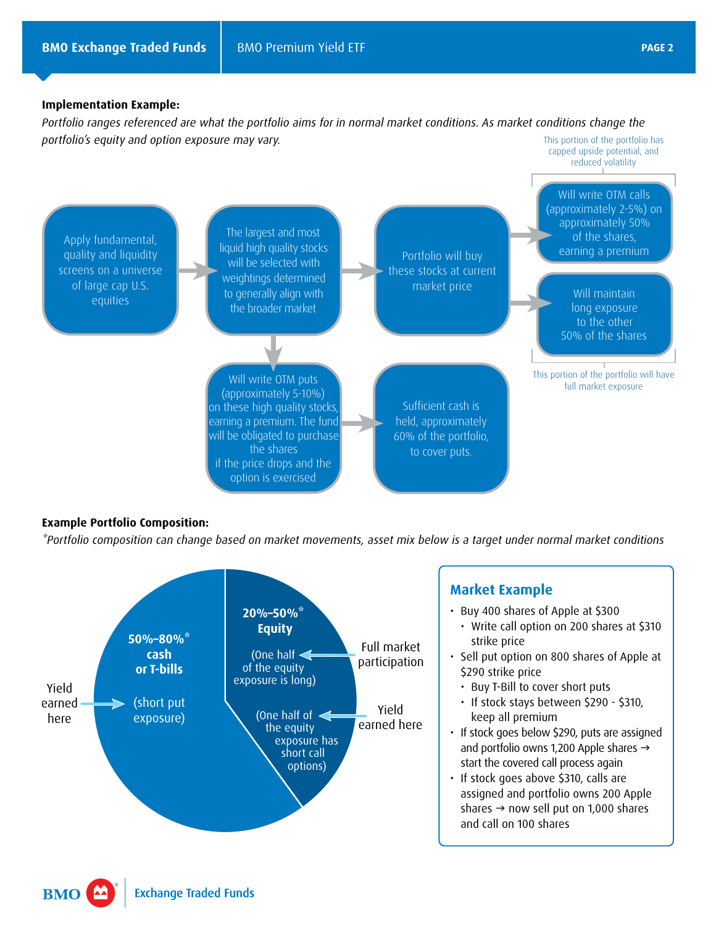### **Implementation Example:**

*Portfolio ranges referenced are what the portfolio aims for in normal market conditions. As market conditions change the portfolio's equity and option exposure may vary.* This portion of the portfolio has



## **Example Portfolio Composition:**

*\*Portfolio composition can change based on market movements, asset mix below is a target under normal market conditions*



## **Market Example**

- Buy 400 shares of Apple at \$300
	- Write call option on 200 shares at \$310 strike price
- Sell put option on 800 shares of Apple at \$290 strike price
	- Buy T-Bill to cover short puts
	- If stock stays between \$290 \$310, keep all premium
- If stock goes below \$290, puts are assigned and portfolio owns 1,200 Apple shares  $\rightarrow$ start the covered call process again
- If stock goes above \$310, calls are assigned and portfolio owns 200 Apple shares  $\rightarrow$  now sell put on 1,000 shares and call on 100 shares